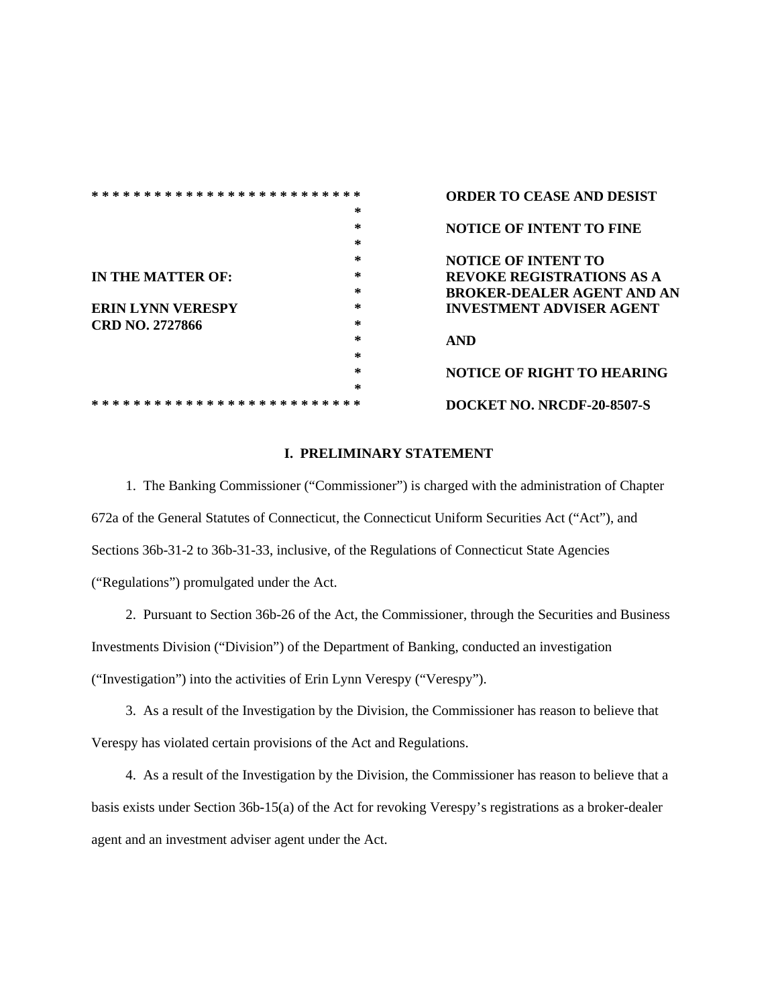| * * * * * * *<br>∗<br>$\ast$ |        | <b>ORDER TO CEASE AND DESIST</b>  |
|------------------------------|--------|-----------------------------------|
|                              | $\ast$ |                                   |
|                              | ÷.     | <b>NOTICE OF INTENT TO FINE</b>   |
|                              | *      |                                   |
|                              | *      | <b>NOTICE OF INTENT TO</b>        |
| IN THE MATTER OF:            | *      | <b>REVOKE REGISTRATIONS AS A</b>  |
|                              | *      | <b>BROKER-DEALER AGENT AND AN</b> |
| <b>ERIN LYNN VERESPY</b>     | *      | <b>INVESTMENT ADVISER AGENT</b>   |
| CRD NO. 2727866              | *      |                                   |
|                              | *      | <b>AND</b>                        |
|                              | *      |                                   |
|                              | *      | <b>NOTICE OF RIGHT TO HEARING</b> |
|                              | *      |                                   |
| ж<br>ж                       |        | DOCKET NO. NRCDF-20-8507-S        |

## **I. PRELIMINARY STATEMENT**

 1. The Banking Commissioner ("Commissioner") is charged with the administration of Chapter 672a of the General Statutes of Connecticut, the Connecticut Uniform Securities Act ("Act"), and Sections 36b-31-2 to 36b-31-33, inclusive, of the Regulations of Connecticut State Agencies ("Regulations") promulgated under the Act.

 2. Pursuant to Section 36b-26 of the Act, the Commissioner, through the Securities and Business Investments Division ("Division") of the Department of Banking, conducted an investigation ("Investigation") into the activities of Erin Lynn Verespy ("Verespy").

 3. As a result of the Investigation by the Division, the Commissioner has reason to believe that Verespy has violated certain provisions of the Act and Regulations.

 4. As a result of the Investigation by the Division, the Commissioner has reason to believe that a basis exists under Section 36b-15(a) of the Act for revoking Verespy's registrations as a broker-dealer agent and an investment adviser agent under the Act.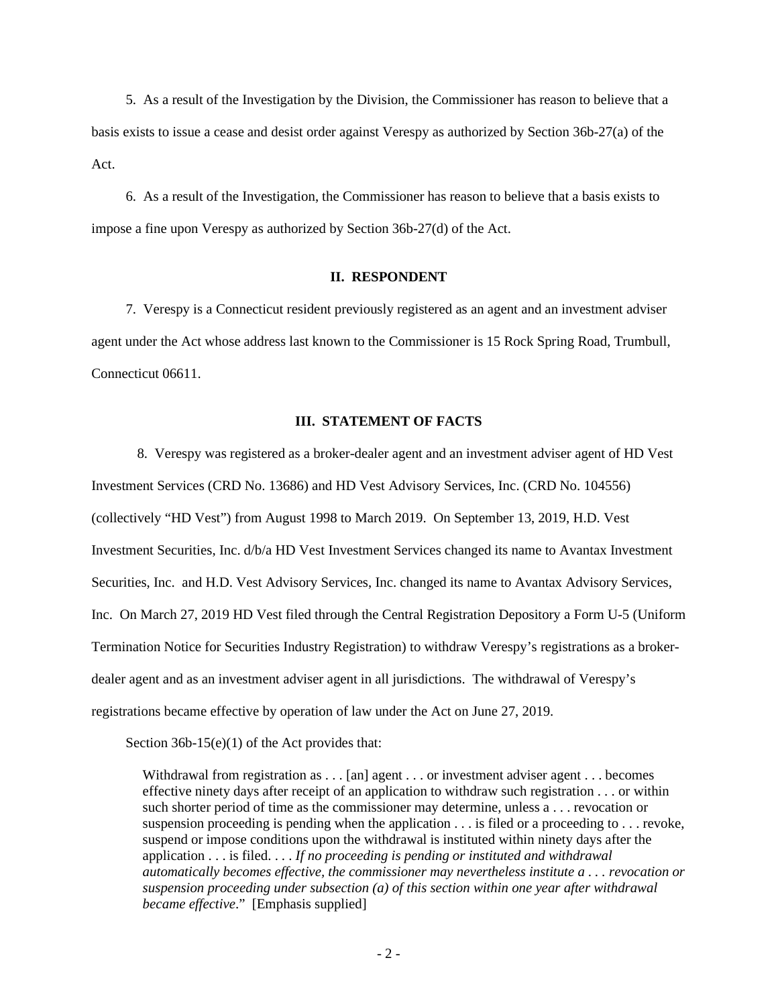5. As a result of the Investigation by the Division, the Commissioner has reason to believe that a basis exists to issue a cease and desist order against Verespy as authorized by Section 36b-27(a) of the Act.

6. As a result of the Investigation, the Commissioner has reason to believe that a basis exists to impose a fine upon Verespy as authorized by Section 36b-27(d) of the Act.

## **II. RESPONDENT**

 7. Verespy is a Connecticut resident previously registered as an agent and an investment adviser agent under the Act whose address last known to the Commissioner is 15 Rock Spring Road, Trumbull, Connecticut 06611.

#### **III. STATEMENT OF FACTS**

 8. Verespy was registered as a broker-dealer agent and an investment adviser agent of HD Vest Investment Services (CRD No. 13686) and HD Vest Advisory Services, Inc. (CRD No. 104556) (collectively "HD Vest") from August 1998 to March 2019. On September 13, 2019, H.D. Vest Investment Securities, Inc. d/b/a HD Vest Investment Services changed its name to Avantax Investment Securities, Inc. and H.D. Vest Advisory Services, Inc. changed its name to Avantax Advisory Services, Inc. On March 27, 2019 HD Vest filed through the Central Registration Depository a Form U-5 (Uniform Termination Notice for Securities Industry Registration) to withdraw Verespy's registrations as a brokerdealer agent and as an investment adviser agent in all jurisdictions. The withdrawal of Verespy's registrations became effective by operation of law under the Act on June 27, 2019.

Section 36b-15(e)(1) of the Act provides that:

Withdrawal from registration as . . . [an] agent . . . or investment adviser agent . . . becomes effective ninety days after receipt of an application to withdraw such registration . . . or within such shorter period of time as the commissioner may determine, unless a . . . revocation or suspension proceeding is pending when the application . . . is filed or a proceeding to . . . revoke, suspend or impose conditions upon the withdrawal is instituted within ninety days after the application . . . is filed. . . . *If no proceeding is pending or instituted and withdrawal automatically becomes effective, the commissioner may nevertheless institute a . . . revocation or suspension proceeding under subsection (a) of this section within one year after withdrawal became effective*." [Emphasis supplied]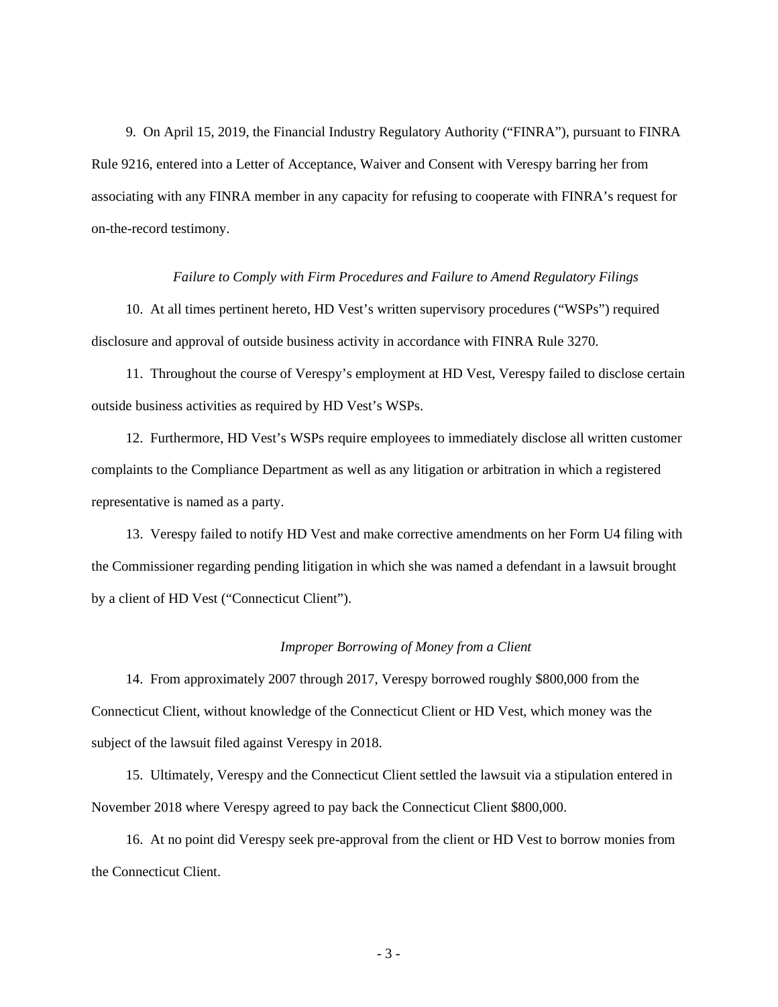9. On April 15, 2019, the Financial Industry Regulatory Authority ("FINRA"), pursuant to FINRA Rule 9216, entered into a Letter of Acceptance, Waiver and Consent with Verespy barring her from associating with any FINRA member in any capacity for refusing to cooperate with FINRA's request for on-the-record testimony.

#### *Failure to Comply with Firm Procedures and Failure to Amend Regulatory Filings*

 10. At all times pertinent hereto, HD Vest's written supervisory procedures ("WSPs") required disclosure and approval of outside business activity in accordance with FINRA Rule 3270.

 11. Throughout the course of Verespy's employment at HD Vest, Verespy failed to disclose certain outside business activities as required by HD Vest's WSPs.

 12. Furthermore, HD Vest's WSPs require employees to immediately disclose all written customer complaints to the Compliance Department as well as any litigation or arbitration in which a registered representative is named as a party.

 13. Verespy failed to notify HD Vest and make corrective amendments on her Form U4 filing with the Commissioner regarding pending litigation in which she was named a defendant in a lawsuit brought by a client of HD Vest ("Connecticut Client").

#### *Improper Borrowing of Money from a Client*

 14. From approximately 2007 through 2017, Verespy borrowed roughly \$800,000 from the Connecticut Client, without knowledge of the Connecticut Client or HD Vest, which money was the subject of the lawsuit filed against Verespy in 2018.

 15. Ultimately, Verespy and the Connecticut Client settled the lawsuit via a stipulation entered in November 2018 where Verespy agreed to pay back the Connecticut Client \$800,000.

 16. At no point did Verespy seek pre-approval from the client or HD Vest to borrow monies from the Connecticut Client.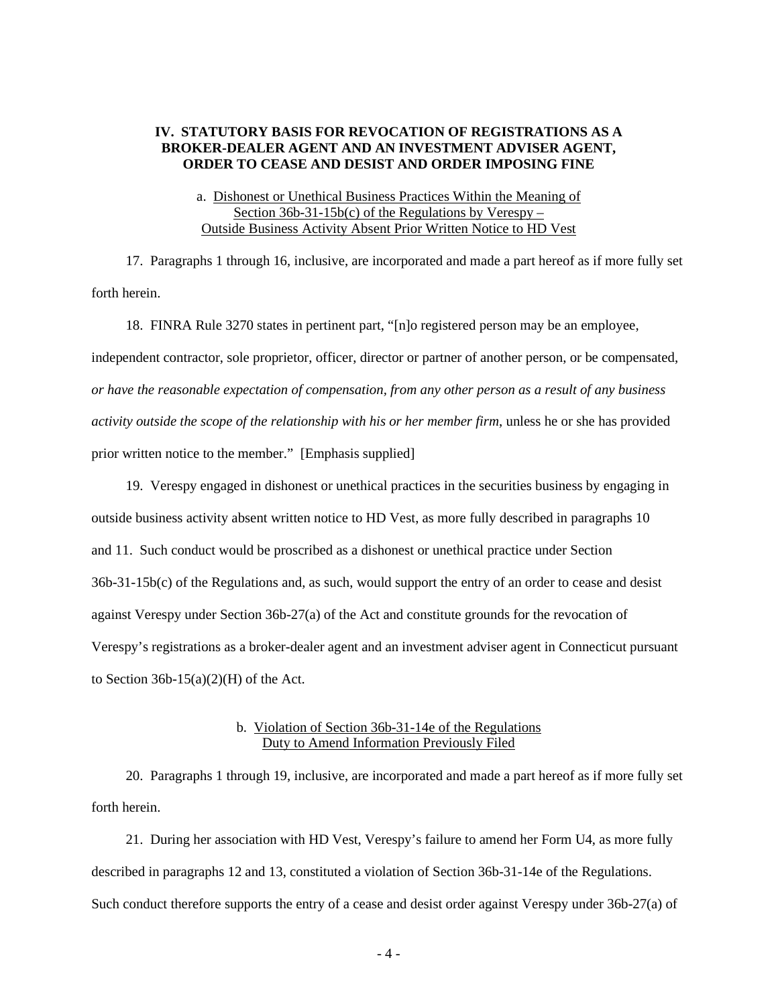## **IV. STATUTORY BASIS FOR REVOCATION OF REGISTRATIONS AS A BROKER-DEALER AGENT AND AN INVESTMENT ADVISER AGENT, ORDER TO CEASE AND DESIST AND ORDER IMPOSING FINE**

## a. Dishonest or Unethical Business Practices Within the Meaning of Section  $36b-31-15b(c)$  of the Regulations by Verespy – Outside Business Activity Absent Prior Written Notice to HD Vest

 17. Paragraphs 1 through 16, inclusive, are incorporated and made a part hereof as if more fully set forth herein.

 18. FINRA Rule 3270 states in pertinent part, "[n]o registered person may be an employee, independent contractor, sole proprietor, officer, director or partner of another person, or be compensated, *or have the reasonable expectation of compensation, from any other person as a result of any business activity outside the scope of the relationship with his or her member firm*, unless he or she has provided prior written notice to the member." [Emphasis supplied]

 19. Verespy engaged in dishonest or unethical practices in the securities business by engaging in outside business activity absent written notice to HD Vest, as more fully described in paragraphs 10 and 11. Such conduct would be proscribed as a dishonest or unethical practice under Section 36b-31-15b(c) of the Regulations and, as such, would support the entry of an order to cease and desist against Verespy under Section 36b-27(a) of the Act and constitute grounds for the revocation of Verespy's registrations as a broker-dealer agent and an investment adviser agent in Connecticut pursuant to Section  $36b-15(a)(2)(H)$  of the Act.

## b. Violation of Section 36b-31-14e of the Regulations Duty to Amend Information Previously Filed

 20. Paragraphs 1 through 19, inclusive, are incorporated and made a part hereof as if more fully set forth herein.

 21. During her association with HD Vest, Verespy's failure to amend her Form U4, as more fully described in paragraphs 12 and 13, constituted a violation of Section 36b-31-14e of the Regulations. Such conduct therefore supports the entry of a cease and desist order against Verespy under 36b-27(a) of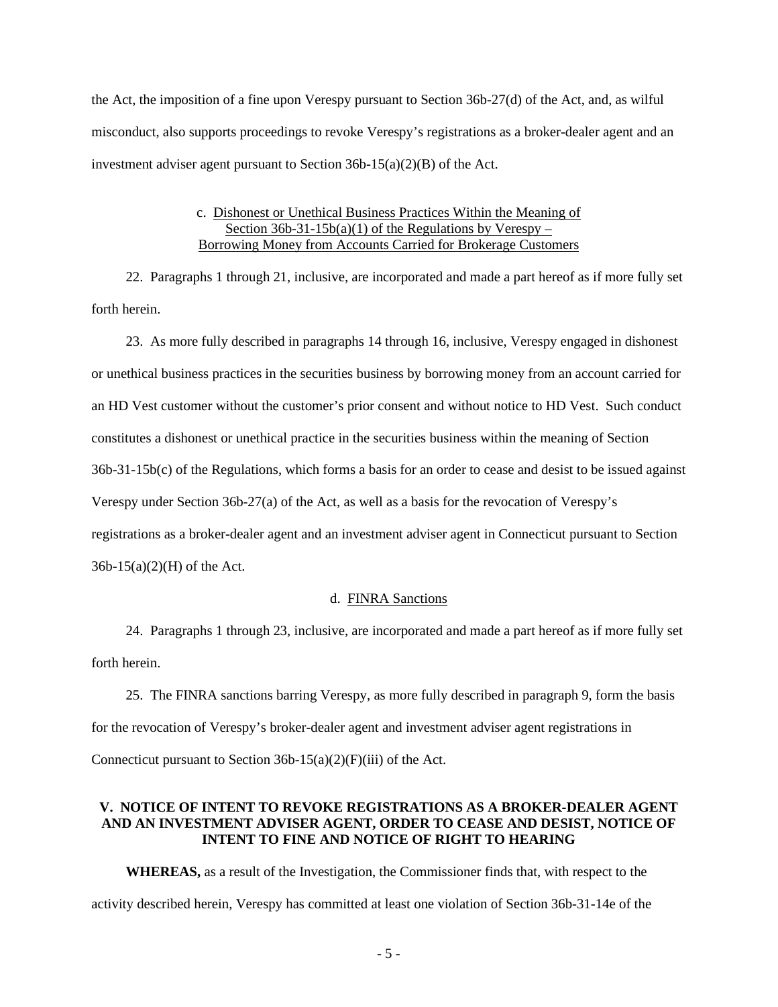the Act, the imposition of a fine upon Verespy pursuant to Section 36b-27(d) of the Act, and, as wilful misconduct, also supports proceedings to revoke Verespy's registrations as a broker-dealer agent and an investment adviser agent pursuant to Section 36b-15(a)(2)(B) of the Act.

#### c. Dishonest or Unethical Business Practices Within the Meaning of Section  $36b-31-15b(a)(1)$  of the Regulations by Verespy – Borrowing Money from Accounts Carried for Brokerage Customers

 22. Paragraphs 1 through 21, inclusive, are incorporated and made a part hereof as if more fully set forth herein.

 23. As more fully described in paragraphs 14 through 16, inclusive, Verespy engaged in dishonest or unethical business practices in the securities business by borrowing money from an account carried for an HD Vest customer without the customer's prior consent and without notice to HD Vest. Such conduct constitutes a dishonest or unethical practice in the securities business within the meaning of Section 36b-31-15b(c) of the Regulations, which forms a basis for an order to cease and desist to be issued against Verespy under Section 36b-27(a) of the Act, as well as a basis for the revocation of Verespy's registrations as a broker-dealer agent and an investment adviser agent in Connecticut pursuant to Section 36b-15(a)(2)(H) of the Act.

#### d. FINRA Sanctions

 24. Paragraphs 1 through 23, inclusive, are incorporated and made a part hereof as if more fully set forth herein.

 25. The FINRA sanctions barring Verespy, as more fully described in paragraph 9, form the basis for the revocation of Verespy's broker-dealer agent and investment adviser agent registrations in Connecticut pursuant to Section  $36b-15(a)(2)(F)(iii)$  of the Act.

## **V. NOTICE OF INTENT TO REVOKE REGISTRATIONS AS A BROKER-DEALER AGENT AND AN INVESTMENT ADVISER AGENT, ORDER TO CEASE AND DESIST, NOTICE OF INTENT TO FINE AND NOTICE OF RIGHT TO HEARING**

**WHEREAS,** as a result of the Investigation, the Commissioner finds that, with respect to the activity described herein, Verespy has committed at least one violation of Section 36b-31-14e of the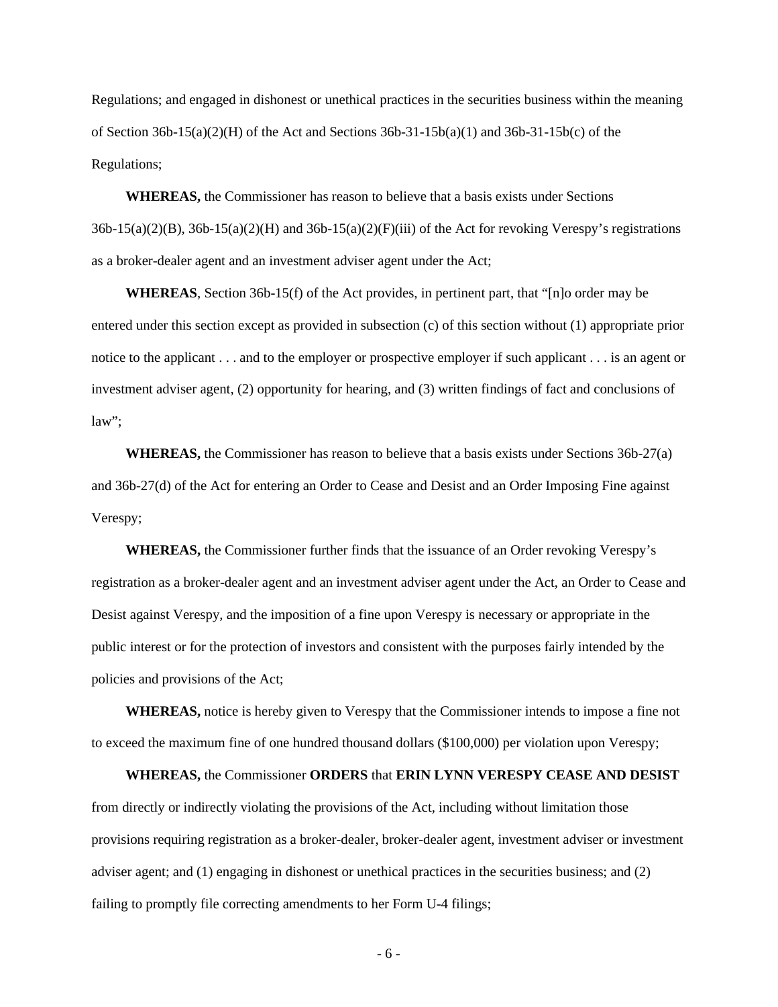Regulations; and engaged in dishonest or unethical practices in the securities business within the meaning of Section 36b-15(a)(2)(H) of the Act and Sections 36b-31-15b(a)(1) and 36b-31-15b(c) of the Regulations;

**WHEREAS,** the Commissioner has reason to believe that a basis exists under Sections  $36b-15(a)(2)(B)$ ,  $36b-15(a)(2)(H)$  and  $36b-15(a)(2)(F)(iii)$  of the Act for revoking Verespy's registrations as a broker-dealer agent and an investment adviser agent under the Act;

**WHEREAS**, Section 36b-15(f) of the Act provides, in pertinent part, that "[n]o order may be entered under this section except as provided in subsection (c) of this section without (1) appropriate prior notice to the applicant . . . and to the employer or prospective employer if such applicant . . . is an agent or investment adviser agent, (2) opportunity for hearing, and (3) written findings of fact and conclusions of law";

**WHEREAS,** the Commissioner has reason to believe that a basis exists under Sections 36b-27(a) and 36b-27(d) of the Act for entering an Order to Cease and Desist and an Order Imposing Fine against Verespy;

**WHEREAS,** the Commissioner further finds that the issuance of an Order revoking Verespy's registration as a broker-dealer agent and an investment adviser agent under the Act, an Order to Cease and Desist against Verespy, and the imposition of a fine upon Verespy is necessary or appropriate in the public interest or for the protection of investors and consistent with the purposes fairly intended by the policies and provisions of the Act;

**WHEREAS,** notice is hereby given to Verespy that the Commissioner intends to impose a fine not to exceed the maximum fine of one hundred thousand dollars (\$100,000) per violation upon Verespy;

**WHEREAS,** the Commissioner **ORDERS** that **ERIN LYNN VERESPY CEASE AND DESIST** from directly or indirectly violating the provisions of the Act, including without limitation those provisions requiring registration as a broker-dealer, broker-dealer agent, investment adviser or investment adviser agent; and (1) engaging in dishonest or unethical practices in the securities business; and (2) failing to promptly file correcting amendments to her Form U-4 filings;

- 6 -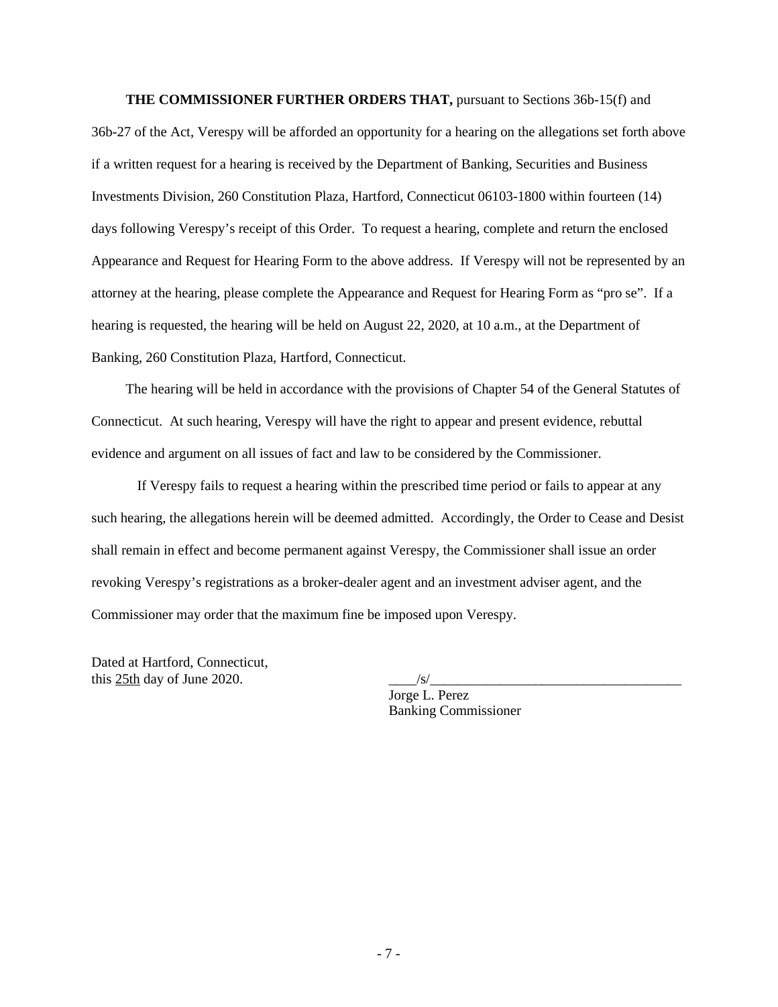**THE COMMISSIONER FURTHER ORDERS THAT,** pursuant to Sections 36b-15(f) and 36b-27 of the Act, Verespy will be afforded an opportunity for a hearing on the allegations set forth above if a written request for a hearing is received by the Department of Banking, Securities and Business Investments Division, 260 Constitution Plaza, Hartford, Connecticut 06103-1800 within fourteen (14) days following Verespy's receipt of this Order. To request a hearing, complete and return the enclosed Appearance and Request for Hearing Form to the above address. If Verespy will not be represented by an attorney at the hearing, please complete the Appearance and Request for Hearing Form as "pro se". If a hearing is requested, the hearing will be held on August 22, 2020, at 10 a.m., at the Department of Banking, 260 Constitution Plaza, Hartford, Connecticut.

 The hearing will be held in accordance with the provisions of Chapter 54 of the General Statutes of Connecticut. At such hearing, Verespy will have the right to appear and present evidence, rebuttal evidence and argument on all issues of fact and law to be considered by the Commissioner.

If Verespy fails to request a hearing within the prescribed time period or fails to appear at any such hearing, the allegations herein will be deemed admitted. Accordingly, the Order to Cease and Desist shall remain in effect and become permanent against Verespy, the Commissioner shall issue an order revoking Verespy's registrations as a broker-dealer agent and an investment adviser agent, and the Commissioner may order that the maximum fine be imposed upon Verespy.

Dated at Hartford, Connecticut, this 25th day of June 2020.  $\sqrt{s/2}$ 

Jorge L. Perez Banking Commissioner